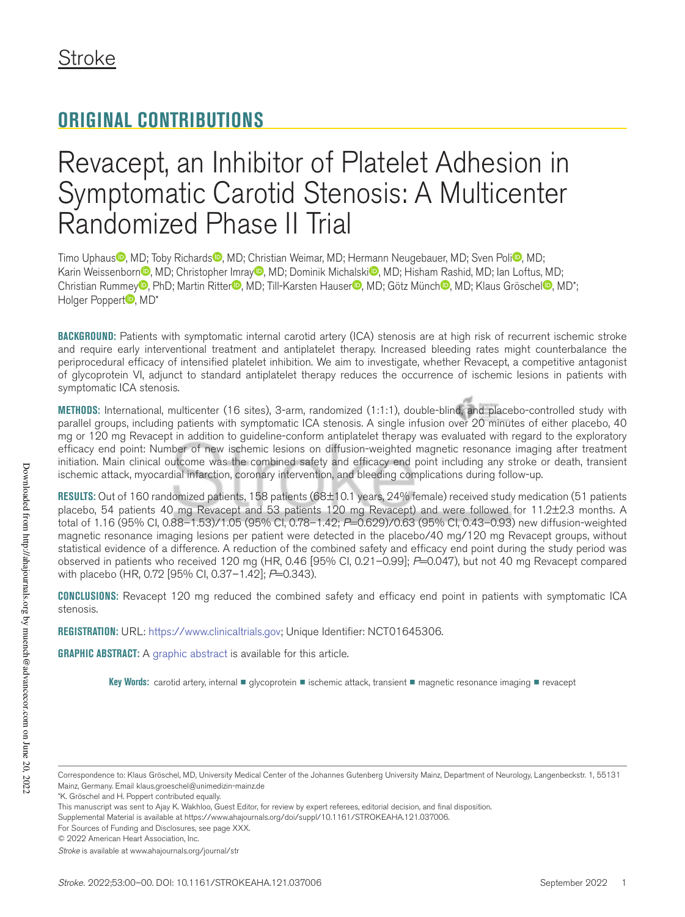# **ORIGINAL CONTRIBUTIONS**

# Revacept, an Inhibitor of Platelet Adhesion in Symptomatic Carotid Stenosis: A Multicenter Randomized Phase II Trial

Timo Uphaus<sup>®</sup>, MD; Toby Richards<sup>®</sup>, MD; Christian Weimar, MD; Hermann Neugebauer, MD; Sven Poli<sup>®</sup>, MD; Karin Weissenborn , MD; Christopher Imray , MD; Dominik Michalski , MD; Hisham Rashid, MD; Ian Loftus, MD; Christian Rummey<sup>®</sup>, PhD; Martin Ritter<sup>®</sup>, MD; Till-Karsten Hauser<sup>®</sup>, MD; Götz Münch<sup>®</sup>, MD; Klaus Gröschel<sup>®</sup>, MD\*; Holger Poppert<sup>o</sup>, MD\*

**BACKGROUND:** Patients with symptomatic internal carotid artery (ICA) stenosis are at high risk of recurrent ischemic stroke and require early interventional treatment and antiplatelet therapy. Increased bleeding rates might counterbalance the periprocedural efficacy of intensified platelet inhibition. We aim to investigate, whether Revacept, a competitive antagonist of glycoprotein VI, adjunct to standard antiplatelet therapy reduces the occurrence of ischemic lesions in patients with symptomatic ICA stenosis.

**METHODS:** International, multicenter (16 sites), 3-arm, randomized (1:1:1), double-blind, and placebo-controlled study with parallel groups, including patients with symptomatic ICA stenosis. A single infusion over 20 minutes of either placebo, 40 mg or 120 mg Revacept in addition to guideline-conform antiplatelet therapy was evaluated with regard to the exploratory efficacy end point: Number of new ischemic lesions on diffusion-weighted magnetic resonance imaging after treatment initiation. Main clinical outcome was the combined safety and efficacy end point including any stroke or death, transient ischemic attack, myocardial infarction, coronary intervention, and bleeding complications during follow-up.

**RESULTS:** Out of 160 randomized patients, 158 patients (68±10.1 years, 24% female) received study medication (51 patients placebo, 54 patients 40 mg Revacept and 53 patients 120 mg Revacept) and were followed for 11.2±2.3 months. A total of 1.16 (95% CI, 0.88–1.53)/1.05 (95% CI, 0.78–1.42; *P*=0.629)/0.63 (95% CI, 0.43–0.93) new diffusion-weighted magnetic resonance imaging lesions per patient were detected in the placebo/40 mg/120 mg Revacept groups, without statistical evidence of a difference. A reduction of the combined safety and efficacy end point during the study period was observed in patients who received 120 mg (HR, 0.46 [95% CI, 0.21–0.99]; *P*=0.047), but not 40 mg Revacept compared with placebo (HR, 0.72 [95% CI, 0.37-1.42]; *P*=0.343).

**CONCLUSIONS:** Revacept 120 mg reduced the combined safety and efficacy end point in patients with symptomatic ICA stenosis.

**REGISTRATION:** URL: https://www.clinicaltrials.gov; Unique Identifier: NCT01645306.

**GRAPHIC ABSTRACT:** A graphic abstract is available for this article.

Key Words: carotid artery, internal ■ glycoprotein ■ ischemic attack, transient ■ magnetic resonance imaging ■ revacept

Correspondence to: Klaus Gröschel, MD, University Medical Center of the Johannes Gutenberg University Mainz, Department of Neurology, Langenbeckstr. 1, 55131 Mainz, Germany. Email [klaus.groeschel@unimedizin-mainz.de](mailto:klaus.groeschel@unimedizin-mainz.de)

<sup>\*</sup>K. Gröschel and H. Poppert contributed equally.

This manuscript was sent to Ajay K. Wakhloo, Guest Editor, for review by expert referees, editorial decision, and final disposition.

Supplemental Material is available at https://www.ahajournals.org/doi/suppl/10.1161/STROKEAHA.121.037006.

For Sources of Funding and Disclosures, see page XXX.

<sup>© 2022</sup> American Heart Association, Inc.

*Stroke* is available at www.ahajournals.org/journal/str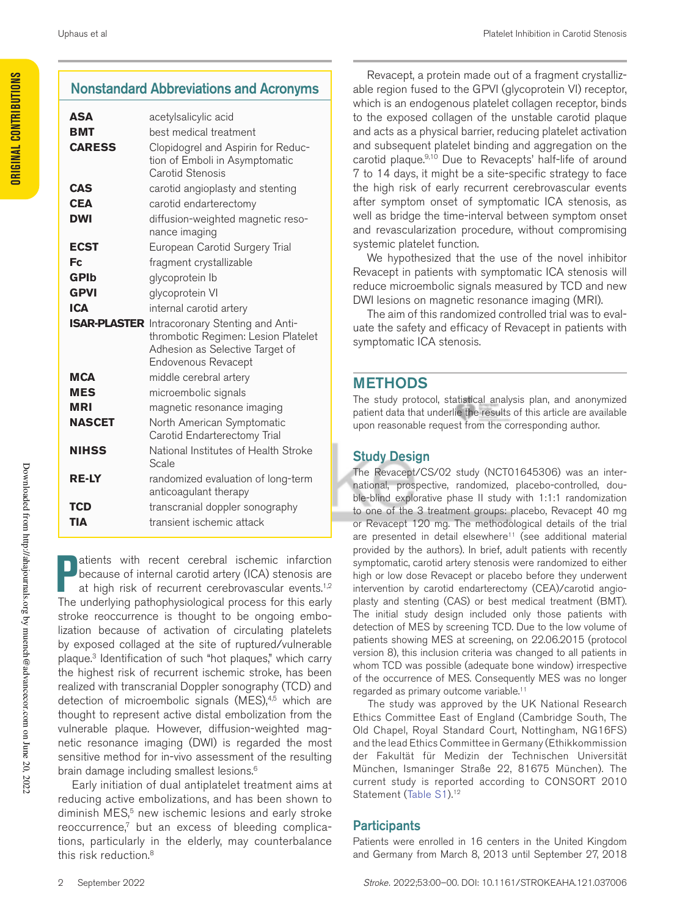# Nonstandard Abbreviations and Acronyms

| <b>ASA</b>    | acetylsalicylic acid                                                                                                                                  |
|---------------|-------------------------------------------------------------------------------------------------------------------------------------------------------|
| <b>BMT</b>    | best medical treatment                                                                                                                                |
| <b>CARESS</b> | Clopidogrel and Aspirin for Reduc-<br>tion of Emboli in Asymptomatic<br>Carotid Stenosis                                                              |
| <b>CAS</b>    | carotid angioplasty and stenting                                                                                                                      |
| <b>CEA</b>    | carotid endarterectomy                                                                                                                                |
| <b>DWI</b>    | diffusion-weighted magnetic reso-                                                                                                                     |
|               | nance imaging                                                                                                                                         |
| <b>ECST</b>   | European Carotid Surgery Trial                                                                                                                        |
| Fc            | fragment crystallizable                                                                                                                               |
| <b>GPIb</b>   | glycoprotein Ib                                                                                                                                       |
| <b>GPVI</b>   | glycoprotein VI                                                                                                                                       |
| <b>ICA</b>    | internal carotid artery                                                                                                                               |
|               | <b>ISAR-PLASTER</b> Intracoronary Stenting and Anti-<br>thrombotic Regimen: Lesion Platelet<br>Adhesion as Selective Target of<br>Endovenous Revacept |
| <b>MCA</b>    | middle cerebral artery                                                                                                                                |
| <b>MES</b>    | microembolic signals                                                                                                                                  |
| MRI           | magnetic resonance imaging                                                                                                                            |
| <b>NASCET</b> | North American Symptomatic<br>Carotid Endarterectomy Trial                                                                                            |
| <b>NIHSS</b>  | National Institutes of Health Stroke<br>Scale                                                                                                         |
| <b>RE-LY</b>  | randomized evaluation of long-term<br>anticoagulant therapy                                                                                           |
| TCD           | transcranial doppler sonography                                                                                                                       |
| TIA           | transient ischemic attack                                                                                                                             |

**P** atients with recent cerebral ischemic infarction because of internal carotid artery (ICA) stenosis are at high risk of recurrent cerebrovascular events.<sup>1,2</sup> The underlying pathophysiological process for this early atients with recent cerebral ischemic infarction because of internal carotid artery (ICA) stenosis are at high risk of recurrent cerebrovascular events.<sup>1,2</sup> stroke reoccurrence is thought to be ongoing embolization because of activation of circulating platelets by exposed collaged at the site of ruptured/vulnerable plaque.<sup>3</sup> Identification of such "hot plaques," which carry the highest risk of recurrent ischemic stroke, has been realized with transcranial Doppler sonography (TCD) and detection of microembolic signals (MES),<sup>4,5</sup> which are thought to represent active distal embolization from the vulnerable plaque. However, diffusion-weighted magnetic resonance imaging (DWI) is regarded the most sensitive method for in-vivo assessment of the resulting brain damage including smallest lesions.<sup>6</sup>

Early initiation of dual antiplatelet treatment aims at reducing active embolizations, and has been shown to diminish MES,<sup>5</sup> new ischemic lesions and early stroke reoccurrence,<sup>7</sup> but an excess of bleeding complications, particularly in the elderly, may counterbalance this risk reduction.<sup>8</sup>

Revacept, a protein made out of a fragment crystallizable region fused to the GPVI (glycoprotein VI) receptor, which is an endogenous platelet collagen receptor, binds to the exposed collagen of the unstable carotid plaque and acts as a physical barrier, reducing platelet activation and subsequent platelet binding and aggregation on the carotid plaque.<sup>9,10</sup> Due to Revacepts' half-life of around 7 to 14 days, it might be a site-specific strategy to face the high risk of early recurrent cerebrovascular events after symptom onset of symptomatic ICA stenosis, as well as bridge the time-interval between symptom onset and revascularization procedure, without compromising systemic platelet function.

We hypothesized that the use of the novel inhibitor Revacept in patients with symptomatic ICA stenosis will reduce microembolic signals measured by TCD and new DWI lesions on magnetic resonance imaging (MRI).

The aim of this randomized controlled trial was to evaluate the safety and efficacy of Revacept in patients with symptomatic ICA stenosis.

# METHODS

The study protocol, statistical analysis plan, and anonymized patient data that underlie the results of this article are available upon reasonable request from the corresponding author.

# Study Design

The Revacept/CS/02 study (NCT01645306) was an international, prospective, randomized, placebo-controlled, double-blind explorative phase II study with 1:1:1 randomization to one of the 3 treatment groups: placebo, Revacept 40 mg or Revacept 120 mg. The methodological details of the trial are presented in detail elsewhere<sup>11</sup> (see additional material provided by the authors). In brief, adult patients with recently symptomatic, carotid artery stenosis were randomized to either high or low dose Revacept or placebo before they underwent intervention by carotid endarterectomy (CEA)/carotid angioplasty and stenting (CAS) or best medical treatment (BMT). The initial study design included only those patients with detection of MES by screening TCD. Due to the low volume of patients showing MES at screening, on 22.06.2015 (protocol version 8), this inclusion criteria was changed to all patients in whom TCD was possible (adequate bone window) irrespective of the occurrence of MES. Consequently MES was no longer regarded as primary outcome variable.<sup>11</sup>

The study was approved by the UK National Research Ethics Committee East of England (Cambridge South, The Old Chapel, Royal Standard Court, Nottingham, NG16FS) and the lead Ethics Committee in Germany (Ethikkommission der Fakultät für Medizin der Technischen Universität München, Ismaninger Straße 22, 81675 München). The current study is reported according to CONSORT 2010 Statement (Table S1).<sup>12</sup>

# **Participants**

Patients were enrolled in 16 centers in the United Kingdom and Germany from March 8, 2013 until September 27, 2018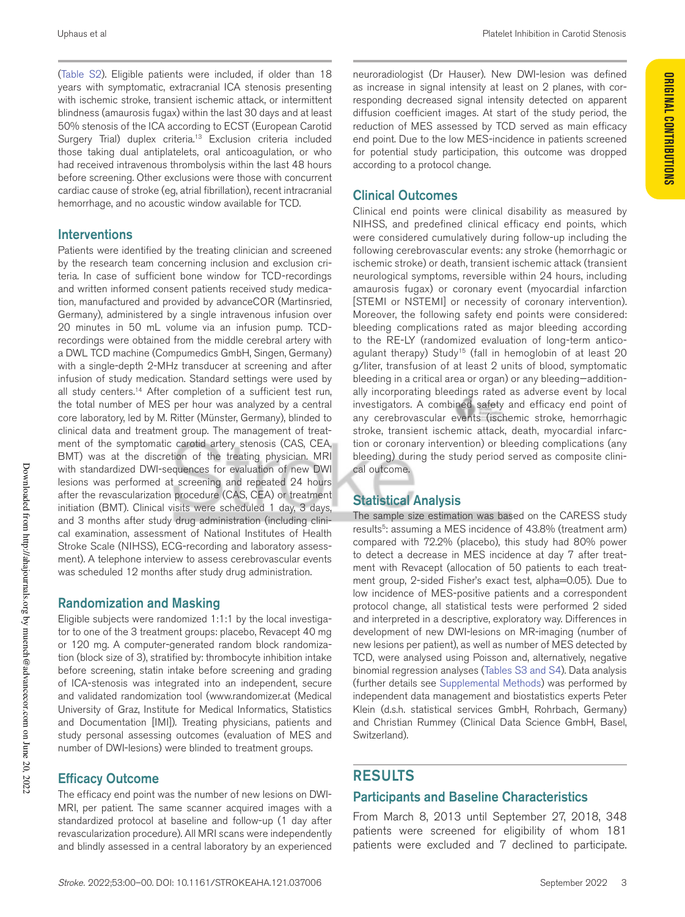(Table S2). Eligible patients were included, if older than 18 years with symptomatic, extracranial ICA stenosis presenting with ischemic stroke, transient ischemic attack, or intermittent blindness (amaurosis fugax) within the last 30 days and at least 50% stenosis of the ICA according to ECST (European Carotid Surgery Trial) duplex criteria.<sup>13</sup> Exclusion criteria included those taking dual antiplatelets, oral anticoagulation, or who had received intravenous thrombolysis within the last 48 hours before screening. Other exclusions were those with concurrent cardiac cause of stroke (eg, atrial fibrillation), recent intracranial hemorrhage, and no acoustic window available for TCD.

## Interventions

Patients were identified by the treating clinician and screened by the research team concerning inclusion and exclusion criteria. In case of sufficient bone window for TCD-recordings and written informed consent patients received study medication, manufactured and provided by advanceCOR (Martinsried, Germany), administered by a single intravenous infusion over 20 minutes in 50 mL volume via an infusion pump. TCDrecordings were obtained from the middle cerebral artery with a DWL TCD machine (Compumedics GmbH, Singen, Germany) with a single-depth 2-MHz transducer at screening and after infusion of study medication. Standard settings were used by all study centers.<sup>14</sup> After completion of a sufficient test run, the total number of MES per hour was analyzed by a central core laboratory, led by M. Ritter (Münster, Germany), blinded to clinical data and treatment group. The management of treatment of the symptomatic carotid artery stenosis (CAS, CEA, BMT) was at the discretion of the treating physician. MRI with standardized DWI-sequences for evaluation of new DWI lesions was performed at screening and repeated 24 hours after the revascularization procedure (CAS, CEA) or treatment initiation (BMT). Clinical visits were scheduled 1 day, 3 days, and 3 months after study drug administration (including clinical examination, assessment of National Institutes of Health Stroke Scale (NIHSS), ECG-recording and laboratory assessment). A telephone interview to assess cerebrovascular events was scheduled 12 months after study drug administration.

## Randomization and Masking

Eligible subjects were randomized 1:1:1 by the local investigator to one of the 3 treatment groups: placebo, Revacept 40 mg or 120 mg. A computer-generated random block randomization (block size of 3), stratified by: thrombocyte inhibition intake before screening, statin intake before screening and grading of ICA-stenosis was integrated into an independent, secure and validated randomization tool (www.randomizer.at (Medical University of Graz, Institute for Medical Informatics, Statistics and Documentation [IMI]). Treating physicians, patients and study personal assessing outcomes (evaluation of MES and number of DWI-lesions) were blinded to treatment groups.

# Efficacy Outcome

The efficacy end point was the number of new lesions on DWI-MRI, per patient. The same scanner acquired images with a standardized protocol at baseline and follow-up (1 day after revascularization procedure). All MRI scans were independently and blindly assessed in a central laboratory by an experienced

neuroradiologist (Dr Hauser). New DWI-lesion was defined as increase in signal intensity at least on 2 planes, with corresponding decreased signal intensity detected on apparent diffusion coefficient images. At start of the study period, the reduction of MES assessed by TCD served as main efficacy end point. Due to the low MES-incidence in patients screened for potential study participation, this outcome was dropped according to a protocol change.

# Clinical Outcomes

Clinical end points were clinical disability as measured by NIHSS, and predefined clinical efficacy end points, which were considered cumulatively during follow-up including the following cerebrovascular events: any stroke (hemorrhagic or ischemic stroke) or death, transient ischemic attack (transient neurological symptoms, reversible within 24 hours, including amaurosis fugax) or coronary event (myocardial infarction [STEMI or NSTEMI] or necessity of coronary intervention). Moreover, the following safety end points were considered: bleeding complications rated as major bleeding according to the RE-LY (randomized evaluation of long-term anticoagulant therapy) Study<sup>15</sup> (fall in hemoglobin of at least 20 g/liter, transfusion of at least 2 units of blood, symptomatic bleeding in a critical area or organ) or any bleeding—additionally incorporating bleedings rated as adverse event by local investigators. A combined safety and efficacy end point of any cerebrovascular events (ischemic stroke, hemorrhagic stroke, transient ischemic attack, death, myocardial infarction or coronary intervention) or bleeding complications (any bleeding) during the study period served as composite clinical outcome.

# Statistical Analysis

The sample size estimation was based on the CARESS study results<sup>5</sup>: assuming a MES incidence of 43.8% (treatment arm) compared with 72.2% (placebo), this study had 80% power to detect a decrease in MES incidence at day 7 after treatment with Revacept (allocation of 50 patients to each treatment group, 2-sided Fisher's exact test, alpha=0.05). Due to low incidence of MES-positive patients and a correspondent protocol change, all statistical tests were performed 2 sided and interpreted in a descriptive, exploratory way. Differences in development of new DWI-lesions on MR-imaging (number of new lesions per patient), as well as number of MES detected by TCD, were analysed using Poisson and, alternatively, negative binomial regression analyses (Tables S3 and S4). Data analysis (further details see Supplemental Methods) was performed by independent data management and biostatistics experts Peter Klein (d.s.h. statistical services GmbH, Rohrbach, Germany) and Christian Rummey (Clinical Data Science GmbH, Basel, Switzerland).

# RESULTS

## Participants and Baseline Characteristics

From March 8, 2013 until September 27, 2018, 348 patients were screened for eligibility of whom 181 patients were excluded and 7 declined to participate.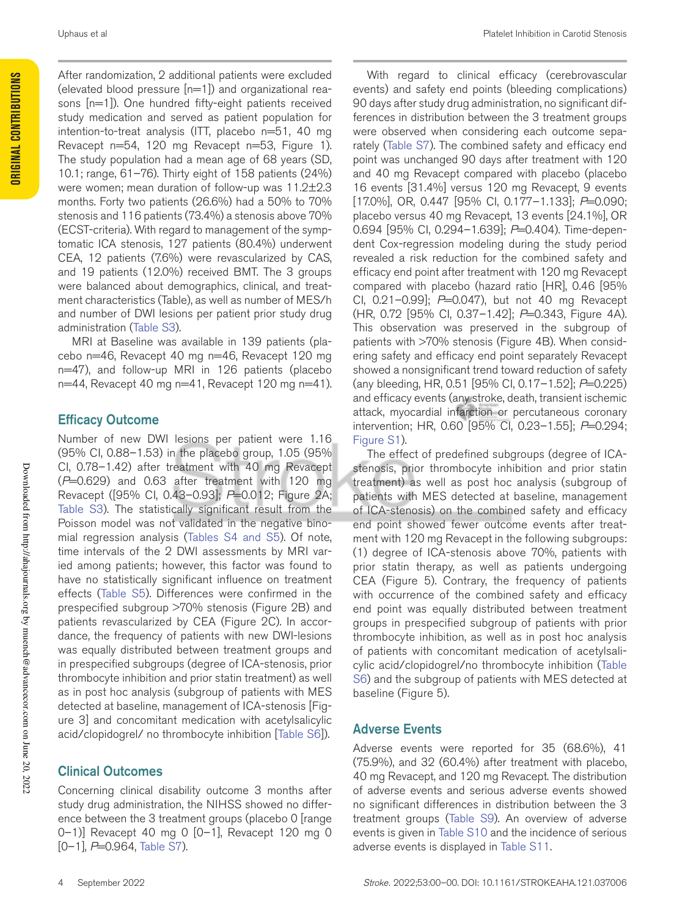After randomization, 2 additional patients were excluded (elevated blood pressure [n=1]) and organizational reasons [n=1]). One hundred fifty-eight patients received study medication and served as patient population for intention-to-treat analysis (ITT, placebo n=51, 40 mg Revacept n=54, 120 mg Revacept n=53, Figure 1). The study population had a mean age of 68 years (SD, 10.1; range, 61–76). Thirty eight of 158 patients (24%) were women; mean duration of follow-up was 11.2±2.3 months. Forty two patients (26.6%) had a 50% to 70% stenosis and 116 patients (73.4%) a stenosis above 70% (ECST-criteria). With regard to management of the symptomatic ICA stenosis, 127 patients (80.4%) underwent CEA, 12 patients (7.6%) were revascularized by CAS, and 19 patients (12.0%) received BMT. The 3 groups were balanced about demographics, clinical, and treatment characteristics (Table), as well as number of MES/h and number of DWI lesions per patient prior study drug administration (Table S3).

MRI at Baseline was available in 139 patients (placebo n=46, Revacept 40 mg n=46, Revacept 120 mg n=47), and follow-up MRI in 126 patients (placebo  $n=44$ , Revacept 40 mg  $n=41$ , Revacept 120 mg  $n=41$ ).

## Efficacy Outcome

Number of new DWI lesions per patient were 1.16 (95% CI, 0.88–1.53) in the placebo group, 1.05 (95% CI, 0.78–1.42) after treatment with 40 mg Revacept (*P*=0.629) and 0.63 after treatment with 120 mg Revacept ([95% CI, 0.43–0.93]; *P*=0.012; Figure 2A; Table S3). The statistically significant result from the Poisson model was not validated in the negative binomial regression analysis (Tables S4 and S5). Of note, time intervals of the 2 DWI assessments by MRI varied among patients; however, this factor was found to have no statistically significant influence on treatment effects (Table S5). Differences were confirmed in the prespecified subgroup >70% stenosis (Figure 2B) and patients revascularized by CEA (Figure 2C). In accordance, the frequency of patients with new DWI-lesions was equally distributed between treatment groups and in prespecified subgroups (degree of ICA-stenosis, prior thrombocyte inhibition and prior statin treatment) as well as in post hoc analysis (subgroup of patients with MES detected at baseline, management of ICA-stenosis [Figure 3] and concomitant medication with acetylsalicylic acid/clopidogrel/ no thrombocyte inhibition [Table S6]). Core (1976–142) and the treatment with 190 mg Feverageth stems is the monoboyte inhibition and proposed to the syce and the syce and the syce and the syce and the syce and the syce and the syce and the syce and the syce a

# Clinical Outcomes

Concerning clinical disability outcome 3 months after study drug administration, the NIHSS showed no difference between the 3 treatment groups (placebo 0 [range 0–1)] Revacept 40 mg 0 [0–1], Revacept 120 mg 0 [0–1], *P*=0.964, Table S7).

With regard to clinical efficacy (cerebrovascular events) and safety end points (bleeding complications) 90 days after study drug administration, no significant differences in distribution between the 3 treatment groups were observed when considering each outcome separately (Table S7). The combined safety and efficacy end point was unchanged 90 days after treatment with 120 and 40 mg Revacept compared with placebo (placebo 16 events [31.4%] versus 120 mg Revacept, 9 events [17.0%], OR, 0.447 [95% CI, 0.177–1.133]; *P*=0.090; placebo versus 40 mg Revacept, 13 events [24.1%], OR 0.694 [95% CI, 0.294–1.639]; *P*=0.404). Time-dependent Cox-regression modeling during the study period revealed a risk reduction for the combined safety and efficacy end point after treatment with 120 mg Revacept compared with placebo (hazard ratio [HR], 0.46 [95% CI, 0.21-0.99]; P=0.047), but not 40 mg Revacept (HR, 0.72 [95% CI, 0.37–1.42]; *P*=0.343, Figure 4A). This observation was preserved in the subgroup of patients with >70% stenosis (Figure 4B). When considering safety and efficacy end point separately Revacept showed a nonsignificant trend toward reduction of safety (any bleeding, HR, 0.51 [95% CI, 0.17–1.52]; *P*=0.225) and efficacy events (any stroke, death, transient ischemic attack, myocardial infarction or percutaneous coronary intervention; HR, 0.60 [95% CI, 0.23-1.55]; *P*=0.294; Figure S1).

The effect of predefined subgroups (degree of ICAstenosis, prior thrombocyte inhibition and prior statin treatment) as well as post hoc analysis (subgroup of patients with MES detected at baseline, management of ICA-stenosis) on the combined safety and efficacy end point showed fewer outcome events after treatment with 120 mg Revacept in the following subgroups: (1) degree of ICA-stenosis above 70%, patients with prior statin therapy, as well as patients undergoing CEA (Figure 5). Contrary, the frequency of patients with occurrence of the combined safety and efficacy end point was equally distributed between treatment groups in prespecified subgroup of patients with prior thrombocyte inhibition, as well as in post hoc analysis of patients with concomitant medication of acetylsalicylic acid/clopidogrel/no thrombocyte inhibition (Table S6) and the subgroup of patients with MES detected at baseline (Figure 5).

# Adverse Events

Adverse events were reported for 35 (68.6%), 41 (75.9%), and 32 (60.4%) after treatment with placebo, 40 mg Revacept, and 120 mg Revacept. The distribution of adverse events and serious adverse events showed no significant differences in distribution between the 3 treatment groups (Table S9). An overview of adverse events is given in Table S10 and the incidence of serious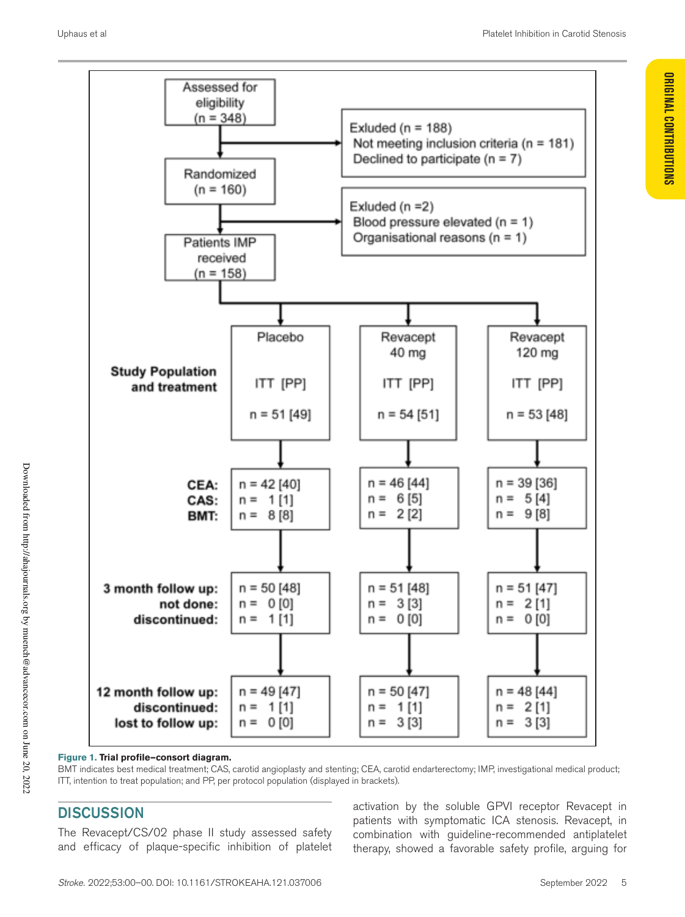

**Figure 1. Trial profile—consort diagram.** 

BMT indicates best medical treatment; CAS, carotid angioplasty and stenting; CEA, carotid endarterectomy; IMP, investigational medical product; ITT, intention to treat population; and PP, per protocol population (displayed in brackets).

# **DISCUSSION**

The Revacept/CS/02 phase II study assessed safety and efficacy of plaque-specific inhibition of platelet

activation by the soluble GPVI receptor Revacept in patients with symptomatic ICA stenosis. Revacept, in combination with guideline-recommended antiplatelet therapy, showed a favorable safety profile, arguing for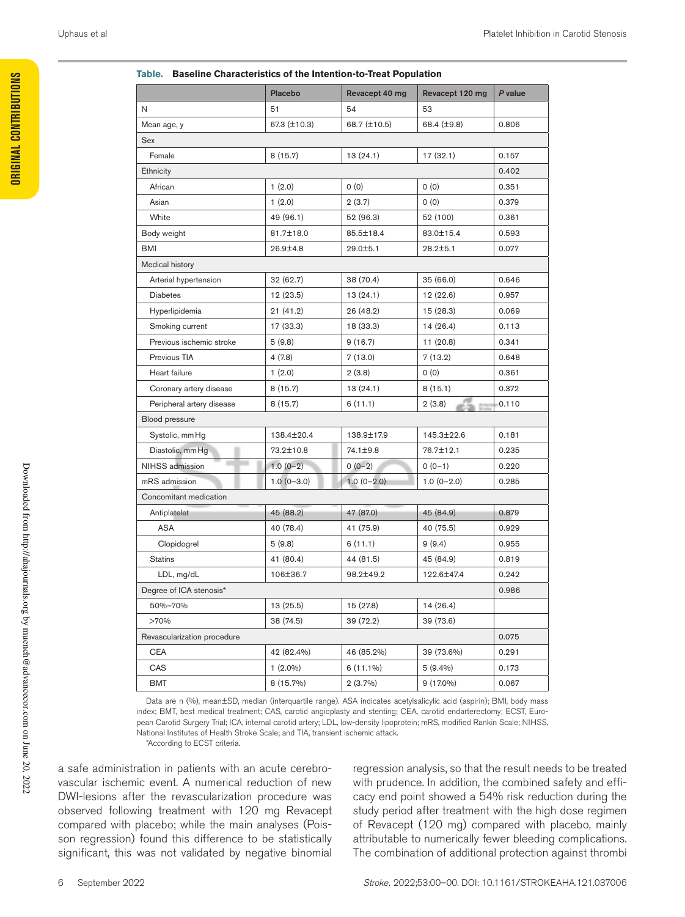#### **Table. Baseline Characteristics of the Intention-to-Treat Population**

|                             | Placebo      | Revacept 40 mg | Revacept 120 mg | P value |
|-----------------------------|--------------|----------------|-----------------|---------|
| N                           | 51           | 54             | 53              |         |
| Mean age, y                 | 67.3 (±10.3) | 68.7 (±10.5)   | 68.4 (±9.8)     | 0.806   |
| Sex                         |              |                |                 |         |
| Female                      | 8(15.7)      | 13(24.1)       | 17 (32.1)       | 0.157   |
| Ethnicity                   |              |                |                 | 0.402   |
| African                     | 1(2.0)       | 0(0)           | 0(0)            | 0.351   |
| Asian                       | 1(2.0)       | 2(3.7)         | 0(0)            | 0.379   |
| White                       | 49 (96.1)    | 52 (96.3)      | 52 (100)        | 0.361   |
| Body weight                 | 81.7±18.0    | 85.5±18.4      | 83.0±15.4       | 0.593   |
| BMI                         | 26.9±4.8     | 29.0±5.1       | $28.2 \pm 5.1$  | 0.077   |
| Medical history             |              |                |                 |         |
| Arterial hypertension       | 32 (62.7)    | 38 (70.4)      | 35 (66.0)       | 0.646   |
| <b>Diabetes</b>             | 12 (23.5)    | 13(24.1)       | 12 (22.6)       | 0.957   |
| Hyperlipidemia              | 21 (41.2)    | 26 (48.2)      | 15 (28.3)       | 0.069   |
| Smoking current             | 17 (33.3)    | 18 (33.3)      | 14(26.4)        | 0.113   |
| Previous ischemic stroke    | 5(9.8)       | 9(16.7)        | 11(20.8)        | 0.341   |
| Previous TIA                | 4(7.8)       | 7(13.0)        | 7(13.2)         | 0.648   |
| Heart failure               | 1(2.0)       | 2(3.8)         | 0(0)            | 0.361   |
| Coronary artery disease     | 8(15.7)      | 13(24.1)       | 8(15.1)         | 0.372   |
| Peripheral artery disease   | 8 (15.7)     | 6(11.1)        | 2(3.8)          | 0.110   |
| Blood pressure              |              |                |                 |         |
| Systolic, mm Hg             | 138.4±20.4   | 138.9±17.9     | 145.3±22.6      | 0.181   |
| Diastolic, mm Hg            | 73.2±10.8    | 74.1±9.8       | 76.7±12.1       | 0.235   |
| NIHSS admission             | $1.0(0-2)$   | $0(0-2)$       | $0(0-1)$        | 0.220   |
| mRS admission               | $1.0(0-3.0)$ | $1.0(0-2.0)$   | $1.0(0-2.0)$    | 0.285   |
| Concomitant medication      |              |                |                 |         |
| Antiplatelet                | 45 (88.2)    | 47 (87.0)      | 45 (84.9)       | 0.879   |
| <b>ASA</b>                  | 40 (78.4)    | 41 (75.9)      | 40 (75.5)       | 0.929   |
| Clopidogrel                 | 5(9.8)       | 6(11.1)        | 9(9.4)          | 0.955   |
| <b>Statins</b>              | 41 (80.4)    | 44 (81.5)      | 45 (84.9)       | 0.819   |
| LDL, mg/dL                  | 106±36.7     | 98.2±49.2      | 122.6±47.4      | 0.242   |
| Degree of ICA stenosis*     |              |                |                 | 0.986   |
| 50%-70%                     | 13 (25.5)    | 15 (27.8)      | 14 (26.4)       |         |
| >70%                        | 38 (74.5)    | 39 (72.2)      | 39 (73.6)       |         |
| Revascularization procedure |              |                |                 | 0.075   |
| <b>CEA</b>                  | 42 (82.4%)   | 46 (85.2%)     | 39 (73.6%)      | 0.291   |
| CAS                         | $1(2.0\%)$   | $6(11.1\%)$    | $5(9.4\%)$      | 0.173   |
| BMT                         | 8 (15.7%)    | $2(3.7\%)$     | 9 (17.0%)       | 0.067   |
|                             |              |                |                 |         |

Data are n (%), mean±SD, median (interquartile range). ASA indicates acetylsalicylic acid (aspirin); BMI, body mass index; BMT, best medical treatment; CAS, carotid angioplasty and stenting; CEA, carotid endarterectomy; ECST, European Carotid Surgery Trial; ICA, internal carotid artery; LDL, low-density lipoprotein; mRS, modified Rankin Scale; NIHSS, National Institutes of Health Stroke Scale; and TIA, transient ischemic attack.

\*According to ECST criteria.

a safe administration in patients with an acute cerebrovascular ischemic event. A numerical reduction of new DWI-lesions after the revascularization procedure was observed following treatment with 120 mg Revacept compared with placebo; while the main analyses (Poisson regression) found this difference to be statistically significant, this was not validated by negative binomial

regression analysis, so that the result needs to be treated with prudence. In addition, the combined safety and efficacy end point showed a 54% risk reduction during the study period after treatment with the high dose regimen of Revacept (120 mg) compared with placebo, mainly attributable to numerically fewer bleeding complications. The combination of additional protection against thrombi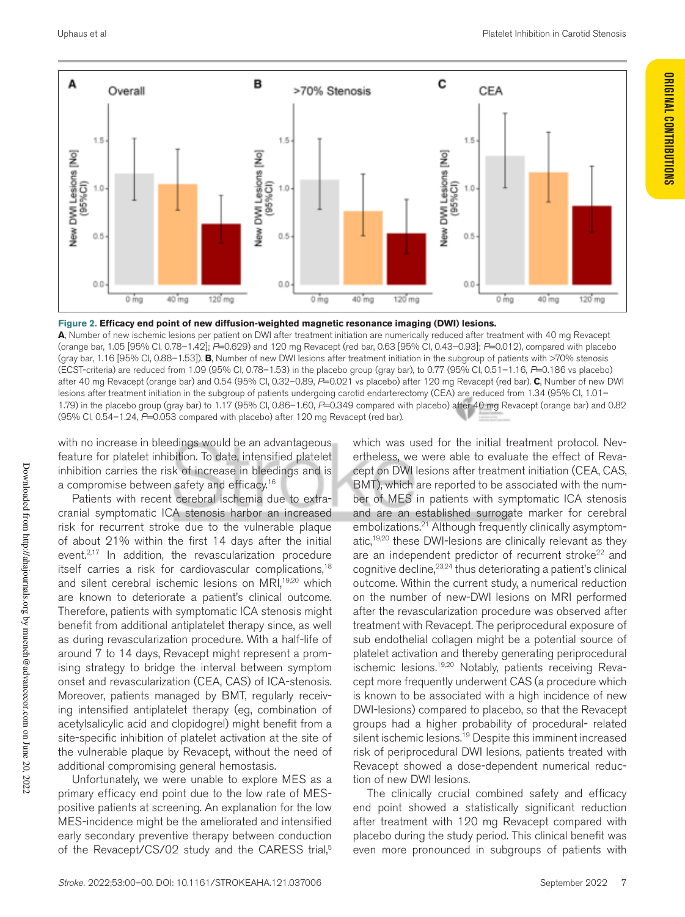**ORIGINAL CONTRIBUTIONS**

**ORIGINAL CONTRIBUTIONS** 



#### **Figure 2. Efficacy end point of new diffusion-weighted magnetic resonance imaging (DWI) lesions.**

**A**, Number of new ischemic lesions per patient on DWI after treatment initiation are numerically reduced after treatment with 40 mg Revacept (orange bar, 1.05 [95% CI, 0.78–1.42]; *P*=0.629) and 120 mg Revacept (red bar, 0.63 [95% CI, 0.43–0.93]; *P*=0.012), compared with placebo (gray bar, 1.16 [95% CI, 0.88–1.53]). **B**, Number of new DWI lesions after treatment initiation in the subgroup of patients with >70% stenosis (ECST-criteria) are reduced from 1.09 (95% CI, 0.78–1.53) in the placebo group (gray bar), to 0.77 (95% CI, 0.51–1.16, *P*=0.186 vs placebo) after 40 mg Revacept (orange bar) and 0.54 (95% CI, 0.32–0.89, *P*=0.021 vs placebo) after 120 mg Revacept (red bar). **C**, Number of new DWI lesions after treatment initiation in the subgroup of patients undergoing carotid endarterectomy (CEA) are reduced from 1.34 (95% CI, 1.01– 1.79) in the placebo group (gray bar) to 1.17 (95% CI, 0.86–1.60, *P*=0.349 compared with placebo) after 40 mg Revacept (orange bar) and 0.82 (95% CI, 0.54–1.24, *P*=0.053 compared with placebo) after 120 mg Revacept (red bar).

with no increase in bleedings would be an advantageous feature for platelet inhibition. To date, intensified platelet inhibition carries the risk of increase in bleedings and is a compromise between safety and efficacy.<sup>16</sup>

Patients with recent cerebral ischemia due to extracranial symptomatic ICA stenosis harbor an increased risk for recurrent stroke due to the vulnerable plaque of about 21% within the first 14 days after the initial event.<sup>2,17</sup> In addition, the revascularization procedure itself carries a risk for cardiovascular complications,<sup>18</sup> and silent cerebral ischemic lesions on MRI,<sup>19,20</sup> which are known to deteriorate a patient's clinical outcome. Therefore, patients with symptomatic ICA stenosis might benefit from additional antiplatelet therapy since, as well as during revascularization procedure. With a half-life of around 7 to 14 days, Revacept might represent a promising strategy to bridge the interval between symptom onset and revascularization (CEA, CAS) of ICA-stenosis. Moreover, patients managed by BMT, regularly receiving intensified antiplatelet therapy (eg, combination of acetylsalicylic acid and clopidogrel) might benefit from a site-specific inhibition of platelet activation at the site of the vulnerable plaque by Revacept, without the need of additional compromising general hemostasis.

Unfortunately, we were unable to explore MES as a primary efficacy end point due to the low rate of MESpositive patients at screening. An explanation for the low MES-incidence might be the ameliorated and intensified early secondary preventive therapy between conduction of the Revacept/CS/02 study and the CARESS trial,<sup>5</sup>

which was used for the initial treatment protocol. Nevertheless, we were able to evaluate the effect of Revacept on DWI lesions after treatment initiation (CEA, CAS, BMT), which are reported to be associated with the number of MES in patients with symptomatic ICA stenosis and are an established surrogate marker for cerebral embolizations.21 Although frequently clinically asymptomatic,<sup>19,20</sup> these DWI-lesions are clinically relevant as they are an independent predictor of recurrent stroke<sup>22</sup> and cognitive decline, $23,24$  thus deteriorating a patient's clinical outcome. Within the current study, a numerical reduction on the number of new-DWI lesions on MRI performed after the revascularization procedure was observed after treatment with Revacept. The periprocedural exposure of sub endothelial collagen might be a potential source of platelet activation and thereby generating periprocedural ischemic lesions.<sup>19,20</sup> Notably, patients receiving Revacept more frequently underwent CAS (a procedure which is known to be associated with a high incidence of new DWI-lesions) compared to placebo, so that the Revacept groups had a higher probability of procedural- related silent ischemic lesions.<sup>19</sup> Despite this imminent increased risk of periprocedural DWI lesions, patients treated with Revacept showed a dose-dependent numerical reduction of new DWI lesions.

The clinically crucial combined safety and efficacy end point showed a statistically significant reduction after treatment with 120 mg Revacept compared with placebo during the study period. This clinical benefit was even more pronounced in subgroups of patients with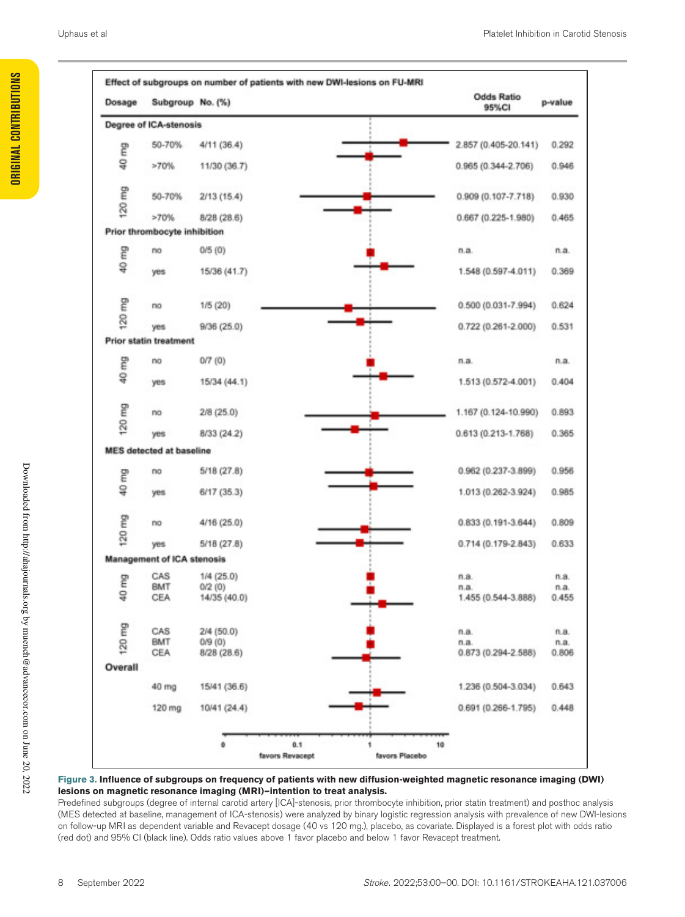| Dosage  | Subgroup No. (%)                |              | <b>Odds Ratio</b><br>95%CI | p-value |
|---------|---------------------------------|--------------|----------------------------|---------|
|         | Degree of ICA-stenosis          |              |                            |         |
| g       | 50-70%                          | 4/11 (36.4)  | 2.857 (0.405-20.141)       | 0.292   |
| g       | >70%                            | 11/30 (36.7) | 0.965 (0.344-2.706)        | 0.946   |
| 120 mg  | 50-70%                          | 2/13(15.4)   | 0.909 (0.107-7.718)        | 0.930   |
|         | >70%                            | 8/28(28.6)   | $0.667(0.225-1.980)$       | 0.465   |
|         | Prior thrombocyte inhibition    |              |                            |         |
| ξ       | no                              | 0/5(0)       | n.a.                       | n.a.    |
| g       | yes                             | 15/36 (41.7) | 1.548 (0.597-4.011)        | 0.369   |
| ξ       | no                              | 1/5 (20)     | 0.500 (0.031-7.994)        | 0.624   |
| 120     | yes                             | 9/36 (25.0)  | $0.722(0.261 - 2.000)$     | 0.531   |
|         | <b>Prior statin treatment</b>   |              |                            |         |
| g       | no                              | 0/7(0)       | n.a.                       | n.a.    |
| g       | yes                             | 15/34 (44.1) | 1.513 (0.572-4.001)        | 0.404   |
| 120 mg  | no                              | 2/8 (25.0)   | 1.167 (0.124-10.990)       | 0.893   |
|         | yes                             | 8/33 (24.2)  | $0.613(0.213 - 1.768)$     | 0.365   |
|         | <b>MES</b> detected at baseline |              |                            |         |
| g       | no                              | 5/18 (27.8)  | 0.962 (0.237-3.899)        | 0.956   |
| g       | yes                             | 6/17(35.3)   | 1.013 (0.262-3.924)        | 0.985   |
| 120 mg  | no                              | 4/16 (25.0)  | $0.833(0.191 - 3.644)$     | 0.809   |
|         | yes                             | 5/18(27.8)   | $0.714(0.179-2.843)$       | 0.633   |
|         | Management of ICA stenosis      |              |                            |         |
|         | CAS                             | $1/4$ (25.0) | n.a.                       | n.a.    |
| g       | BMT                             | 0/2(0)       | n.a.                       | n.a.    |
| ទ្      | CEA                             | 14/35 (40.0) | 1.455 (0.544-3.888)        | 0.455   |
| 120 mg  | CAS                             | 2/4 (50.0)   | n.a.                       | n.a.    |
|         | BMT                             | 0/9(0)       | n.a.                       | n.a.    |
|         | CEA                             | 8/28 (28.6)  | $0.873(0.294 - 2.588)$     | 0.806   |
| Overall |                                 |              |                            |         |
|         | 40 mg                           | 15/41 (36.6) | 1.236 (0.504-3.034)        | 0.643   |
|         | 120 mg                          | 10/41 (24.4) | $0.691(0.266 - 1.795)$     | 0.448   |
|         |                                 |              |                            |         |

#### **Figure 3. Influence of subgroups on frequency of patients with new diffusion-weighted magnetic resonance imaging (DWI) lesions on magnetic resonance imaging (MRI)—intention to treat analysis.**

Predefined subgroups (degree of internal carotid artery [ICA]-stenosis, prior thrombocyte inhibition, prior statin treatment) and posthoc analysis (MES detected at baseline, management of ICA-stenosis) were analyzed by binary logistic regression analysis with prevalence of new DWI-lesions on follow-up MRI as dependent variable and Revacept dosage (40 vs 120 mg.), placebo, as covariate. Displayed is a forest plot with odds ratio (red dot) and 95% CI (black line). Odds ratio values above 1 favor placebo and below 1 favor Revacept treatment.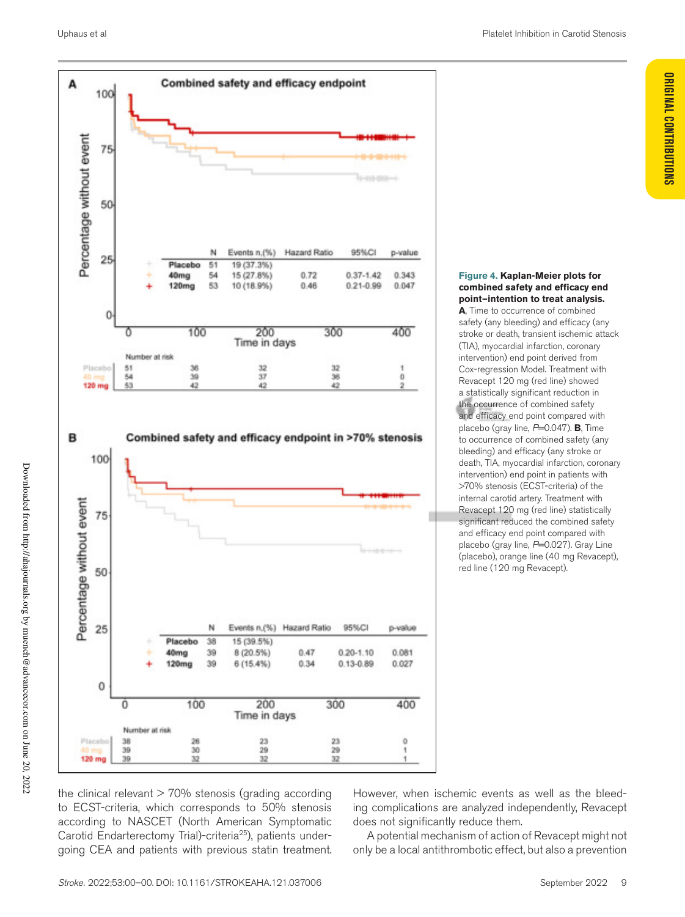

### **Figure 4. Kaplan-Meier plots for combined safety and efficacy end point—intention to treat analysis.**

**A**, Time to occurrence of combined safety (any bleeding) and efficacy (any stroke or death, transient ischemic attack (TIA), myocardial infarction, coronary intervention) end point derived from Cox-regression Model. Treatment with Revacept 120 mg (red line) showed a statistically significant reduction in the occurrence of combined safety and efficacy end point compared with placebo (gray line,  $P=0.047$ ). **B**, Time to occurrence of combined safety (any bleeding) and efficacy (any stroke or death, TIA, myocardial infarction, coronary intervention) end point in patients with >70% stenosis (ECST-criteria) of the internal carotid artery. Treatment with Revacept 120 mg (red line) statistically significant reduced the combined safety and efficacy end point compared with placebo (gray line, P=0.027). Gray Line (placebo), orange line (40 mg Revacept), red line (120 mg Revacept).

the clinical relevant  $> 70\%$  stenosis (grading according to ECST-criteria, which corresponds to 50% stenosis according to NASCET (North American Symptomatic Carotid Endarterectomy Trial)-criteria25), patients undergoing CEA and patients with previous statin treatment. However, when ischemic events as well as the bleeding complications are analyzed independently, Revacept does not significantly reduce them.

A potential mechanism of action of Revacept might not only be a local antithrombotic effect, but also a prevention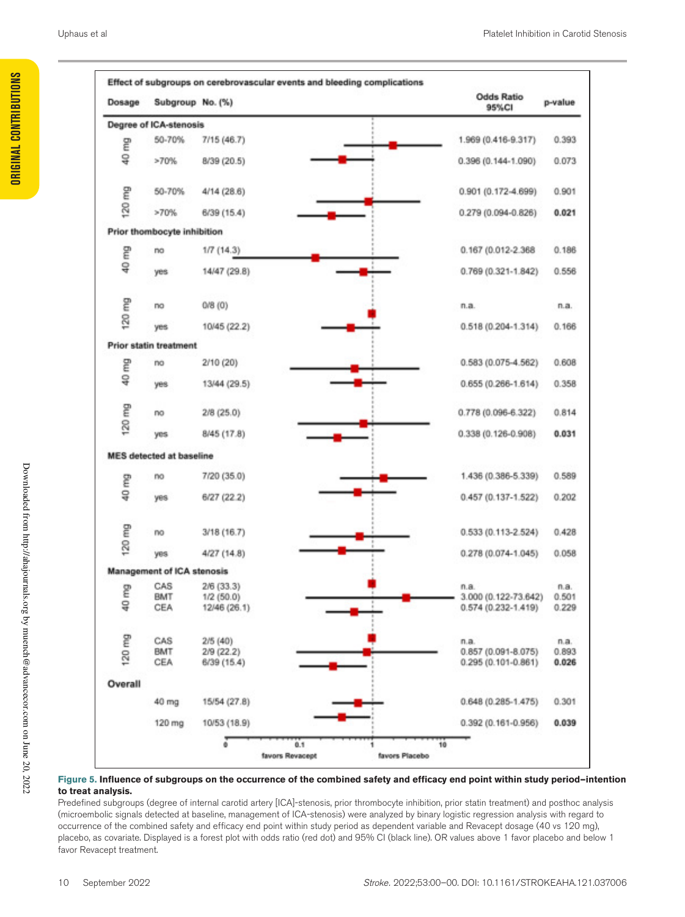| Dosage  | Subgroup No. (%)                |              | <b>Odds Ratio</b><br>95%CI | p-value |
|---------|---------------------------------|--------------|----------------------------|---------|
|         | Degree of ICA-stenosis          |              |                            |         |
| g       | 50-70%                          | 7/15 (46.7)  | 1.969 (0.416-9.317)        | 0.393   |
| g       | >70%                            | 8/39 (20.5)  | $0.396(0.144 - 1.090)$     | 0.073   |
| g       | 50-70%                          | 4/14 (28.6)  | 0.901 (0.172-4.699)        | 0.901   |
| 120     | >70%                            | 6/39 (15.4)  | 0.279 (0.094-0.826)        | 0.021   |
|         | Prior thombocyte inhibition     |              |                            |         |
| ξ       | no                              | $1/7$ (14.3) | 0.167 (0.012-2.368         | 0.186   |
| g       | yes                             | 14/47 (29.8) | $0.769(0.321 - 1.842)$     | 0.556   |
|         | no                              | 0/8(0)       | n.a.                       | n.a.    |
| 120 mg  | yes                             | 10/45 (22.2) | $0.518(0.204 - 1.314)$     | 0.166   |
|         | <b>Prior statin treatment</b>   |              |                            |         |
| g       | no                              | 2/10 (20)    | 0.583 (0.075-4.562)        | 0.608   |
| ₽       | yes                             | 13/44 (29.5) | $0.655(0.266-1.614)$       | 0.358   |
| 120 mg  | no                              | $2/8$ (25.0) | 0.778 (0.096-6.322)        | 0.814   |
|         | yes                             | 8/45 (17.8)  | 0.338 (0.126-0.908)        | 0.031   |
|         | <b>MES detected at baseline</b> |              |                            |         |
| ξ       | no                              | 7/20 (35.0)  | 1.436 (0.386-5.339)        | 0.589   |
| å       | yes                             | 6/27 (22.2)  | $0.457(0.137 - 1.522)$     | 0.202   |
| g       | mo                              | 3/18(16.7)   | $0.533(0.113 - 2.524)$     | 0.428   |
| 120     | yes                             | 4/27(14.8)   | $0.278(0.074 - 1.045)$     | 0.058   |
|         | Management of ICA stenosis      |              |                            |         |
| ξ       | CAS                             | $2/6$ (33.3) | n.a.                       | n.a.    |
| g       | BMT                             | $1/2$ (50.0) | 3.000 (0.122-73.642)       | 0.501   |
|         | CEA                             | 12/46 (26.1) | $0.574(0.232 - 1.419)$     | 0.229   |
|         | CAS                             | 2/5(40)      | n.a.                       | n.a.    |
| 120 mg  | BMT                             | 2/9 (22.2)   | $0.857(0.091 - 8.075)$     | 0.893   |
|         | CEA                             | 6/39 (15.4)  | $0.295(0.101 - 0.861)$     | 0.026   |
| Overall |                                 |              |                            |         |
|         | 40 mg                           | 15/54 (27.8) | $0.648(0.285 - 1.475)$     | 0.301   |
|         | 120 mg                          | 10/53 (18.9) | $0.392(0.161 - 0.956)$     | 0.039   |

#### **Figure 5. Influence of subgroups on the occurrence of the combined safety and efficacy end point within study period—intention to treat analysis.**

Predefined subgroups (degree of internal carotid artery [ICA]-stenosis, prior thrombocyte inhibition, prior statin treatment) and posthoc analysis (microembolic signals detected at baseline, management of ICA-stenosis) were analyzed by binary logistic regression analysis with regard to occurrence of the combined safety and efficacy end point within study period as dependent variable and Revacept dosage (40 vs 120 mg), placebo, as covariate. Displayed is a forest plot with odds ratio (red dot) and 95% CI (black line). OR values above 1 favor placebo and below 1 favor Revacept treatment.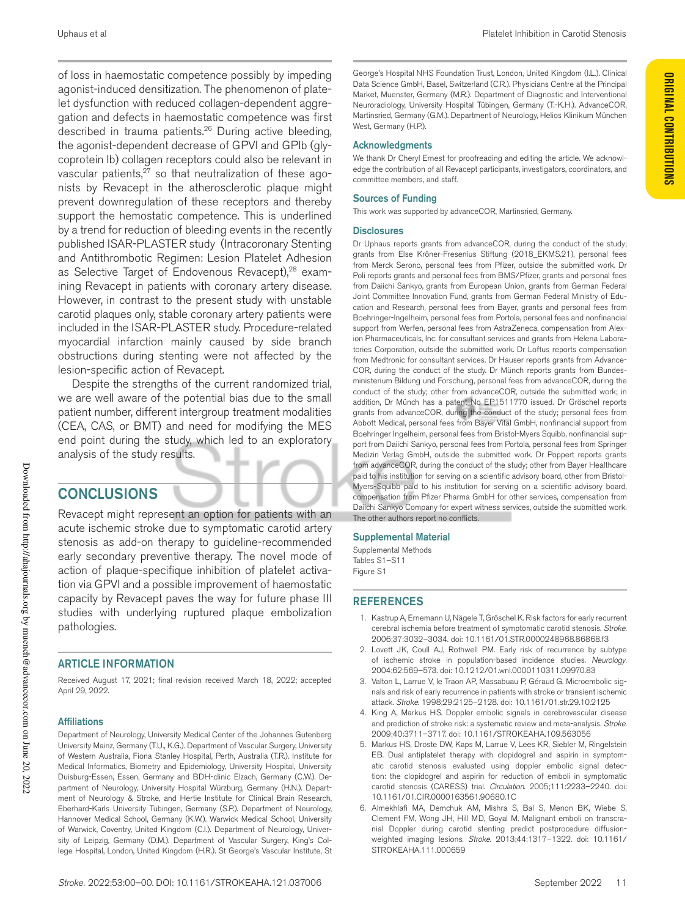of loss in haemostatic competence possibly by impeding agonist-induced densitization. The phenomenon of platelet dysfunction with reduced collagen-dependent aggregation and defects in haemostatic competence was first described in trauma patients.<sup>26</sup> During active bleeding, the agonist-dependent decrease of GPVI and GPIb (glycoprotein Ib) collagen receptors could also be relevant in vascular patients,<sup>27</sup> so that neutralization of these agonists by Revacept in the atherosclerotic plaque might prevent downregulation of these receptors and thereby support the hemostatic competence. This is underlined by a trend for reduction of bleeding events in the recently published ISAR-PLASTER study (Intracoronary Stenting and Antithrombotic Regimen: Lesion Platelet Adhesion as Selective Target of Endovenous Revacept),<sup>28</sup> examining Revacept in patients with coronary artery disease. However, in contrast to the present study with unstable carotid plaques only, stable coronary artery patients were included in the ISAR-PLASTER study. Procedure-related myocardial infarction mainly caused by side branch obstructions during stenting were not affected by the lesion-specific action of Revacept.

Despite the strengths of the current randomized trial, we are well aware of the potential bias due to the small patient number, different intergroup treatment modalities (CEA, CAS, or BMT) and need for modifying the MES end point during the study, which led to an exploratory analysis of the study results.

# **CONCLUSIONS**

Revacept might represent an option for patients with an acute ischemic stroke due to symptomatic carotid artery stenosis as add-on therapy to guideline-recommended early secondary preventive therapy. The novel mode of action of plaque-specifique inhibition of platelet activation via GPVI and a possible improvement of haemostatic capacity by Revacept paves the way for future phase III studies with underlying ruptured plaque embolization pathologies.

## ARTICLE INFORMATION

Received August 17, 2021; final revision received March 18, 2022; accepted April 29, 2022.

### Affiliations

Department of Neurology, University Medical Center of the Johannes Gutenberg University Mainz, Germany (T.U., K.G.). Department of Vascular Surgery, University of Western Australia, Fiona Stanley Hospital, Perth, Australia (T.R.). Institute for Medical Informatics, Biometry and Epidemiology, University Hospital, University Duisburg-Essen, Essen, Germany and BDH-clinic Elzach, Germany (C.W.). Department of Neurology, University Hospital Würzburg, Germany (H.N.). Department of Neurology & Stroke, and Hertie Institute for Clinical Brain Research, Eberhard-Karls University Tübingen, Germany (S.P.). Department of Neurology, Hannover Medical School, Germany (K.W.). Warwick Medical School, University of Warwick, Coventry, United Kingdom (C.I.). Department of Neurology, University of Leipzig, Germany (D.M.). Department of Vascular Surgery, King's College Hospital, London, United Kingdom (H.R.). St George's Vascular Institute, St George's Hospital NHS Foundation Trust, London, United Kingdom (I.L.). Clinical Data Science GmbH, Basel, Switzerland (C.R.). Physicians Centre at the Principal Market, Muenster, Germany (M.R.). Department of Diagnostic and Interventional Neuroradiology, University Hospital Tübingen, Germany (T.-K.H.). AdvanceCOR, Martinsried, Germany (G.M.). Department of Neurology, Helios Klinikum München West, Germany (H.P.).

### Acknowledgments

We thank Dr Cheryl Ernest for proofreading and editing the article. We acknowledge the contribution of all Revacept participants, investigators, coordinators, and committee members, and staff.

### Sources of Funding

This work was supported by advanceCOR, Martinsried, Germany.

#### **Disclosures**

Dr Uphaus reports grants from advanceCOR, during the conduct of the study; grants from Else Kröner-Fresenius Stiftung (2018\_EKMS.21), personal fees from Merck Serono, personal fees from Pfizer, outside the submitted work. Dr Poli reports grants and personal fees from BMS/Pfizer, grants and personal fees from Daiichi Sankyo, grants from European Union, grants from German Federal Joint Committee Innovation Fund, grants from German Federal Ministry of Education and Research, personal fees from Bayer, grants and personal fees from Boehringer-Ingelheim, personal fees from Portola, personal fees and nonfinancial support from Werfen, personal fees from AstraZeneca, compensation from Alexion Pharmaceuticals, Inc. for consultant services and grants from Helena Laboratories Corporation, outside the submitted work. Dr Loftus reports compensation from Medtronic for consultant services. Dr Hauser reports grants from Advance-COR, during the conduct of the study. Dr Münch reports grants from Bundesministerium Bildung und Forschung, personal fees from advanceCOR, during the conduct of the study; other from advanceCOR, outside the submitted work; in addition, Dr Münch has a patent No EP1511770 issued. Dr Gröschel reports grants from advanceCOR, during the conduct of the study; personal fees from Abbott Medical, personal fees from Bayer Vital GmbH, nonfinancial support from Boehringer Ingelheim, personal fees from Bristol-Myers Squibb, nonfinancial support from Daiichi Sankyo, personal fees from Portola, personal fees from Springer Medizin Verlag GmbH, outside the submitted work. Dr Poppert reports grants from advanceCOR, during the conduct of the study; other from Bayer Healthcare paid to his institution for serving on a scientific advisory board, other from Bristol-Myers-Squibb paid to his institution for serving on a scientific advisory board, compensation from Pfizer Pharma GmbH for other services, compensation from Daiichi Sankyo Company for expert witness services, outside the submitted work. The other authors report no conflicts.

### Supplemental Material

Supplemental Methods Tables S1–S11 Figure S1

## REFERENCES

- 1. Kastrup A, Ernemann U, Nägele T, Gröschel K. Risk factors for early recurrent cerebral ischemia before treatment of symptomatic carotid stenosis. *Stroke*. 2006;37:3032–3034. doi: 10.1161/01.STR.0000248968.86868.f3
- 2. Lovett JK, Coull AJ, Rothwell PM. Early risk of recurrence by subtype of ischemic stroke in population-based incidence studies. *Neurology*. 2004;62:569–573. doi: 10.1212/01.wnl.0000110311.09970.83
- 3. Valton L, Larrue V, le Traon AP, Massabuau P, Géraud G. Microembolic signals and risk of early recurrence in patients with stroke or transient ischemic attack. *Stroke*. 1998;29:2125–2128. doi: 10.1161/01.str.29.10.2125
- 4. King A, Markus HS. Doppler embolic signals in cerebrovascular disease and prediction of stroke risk: a systematic review and meta-analysis. *Stroke*. 2009;40:3711–3717. doi: 10.1161/STROKEAHA.109.563056
- 5. Markus HS, Droste DW, Kaps M, Larrue V, Lees KR, Siebler M, Ringelstein EB. Dual antiplatelet therapy with clopidogrel and aspirin in symptomatic carotid stenosis evaluated using doppler embolic signal detection: the clopidogrel and aspirin for reduction of emboli in symptomatic carotid stenosis (CARESS) trial. *Circulation*. 2005;111:2233–2240. doi: 10.1161/01.CIR.0000163561.90680.1C
- 6. Almekhlafi MA, Demchuk AM, Mishra S, Bal S, Menon BK, Wiebe S, Clement FM, Wong JH, Hill MD, Goyal M. Malignant emboli on transcranial Doppler during carotid stenting predict postprocedure diffusionweighted imaging lesions. *Stroke*. 2013;44:1317–1322. doi: 10.1161/ STROKEAHA.111.000659